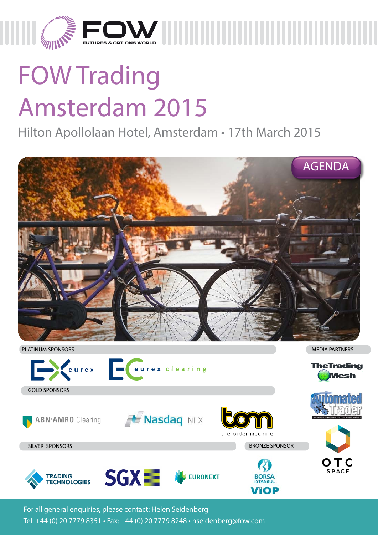

# FOW Trading Amsterdam 2015

Hilton Apollolaan Hotel, Amsterdam • 17th March 2015



For all general enquiries, please contact: Helen Seidenberg Tel: +44 (0) 20 7779 8351 • Fax: +44 (0) 20 7779 8248 • hseidenberg@fow.com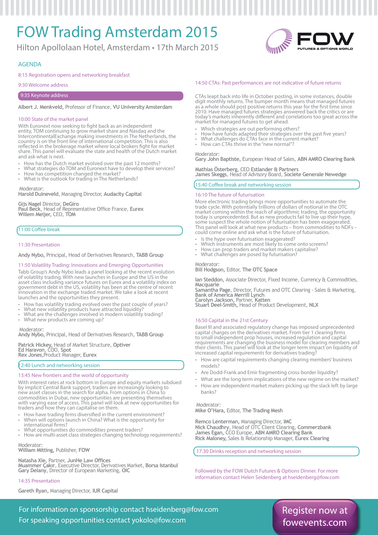# FOW Trading Amsterdam 2015

Hilton Apollolaan Hotel, Amsterdam • 17th March 2015



### AGENDA

### 8:15 Registration opens and networking breakfast

9:30 Welcome address

### 9:35 Keynote address

### **Albert J. Menkveld,** Professor of Finance, **VU University Amsterdam**

### 10:00 State of the market panel

With Euronext now seeking to fight back as an independent entity, TOM continuing to grow market share and Nasdaq and the IntercontinentalExchange making investments in The Netherlands, the country is on the front line of international competition. This is also reflected in the brokerage market where local brokers fight for market share. This panel will evaluate the state and health of the Dutch market and ask what is next.

- 
- How has the Dutch market evolved over the past 12 months?<br>What strategies do TOM and Euronext have to develop their services?<br>How has competition changed the market?<br>What is the outlook for trading in The Netherlands?
- 

### Moderator:

**Harold Duineveld**, Managing Director, **Audacity Capital**

**Gijs Nagel** Director, **DeGiro Paul Beck**, Head of Representative Office France, **Eurex Willem Meijer,** CEO, **TOM**

### 11:00 Coffee break

### 11:30 Presentation

**Andy Nybo,** Principal, Head of Derivatives Research, **TABB Group**

### 11:50 Volatility Trading: Innovations and Emerging Opportunities

Tabb Group's Andy Nybo leads a panel looking at the recent evolution of volatility trading. With new launches in Europe and the US in the asset class including variance futures on Eurex and a volatility index on government debt in the US, volatility has been at the centre of recent innovation in the exchange traded market. We take a look at recent launches and the opportunities they present.

- 
- How has volatility trading evolved over the past couple of years? What new volatility products have attracted liquidity? What are the challenges involved in modern volatility trading? What new products are coming up?
- 
- 

Moderator:

**Andy Nybo,** Principal, Head of Derivatives Research, **TABB Group**

**Patrick Hickey,** Head of Market Structure, **Optiver Ed Haravon**, COO, **Spot Rex Jones,**Product Manager, **Eurex**

### 12:40 Lunch and networking session

### 13:45 New frontiers and the world of opportunity

With interest rates at rock bottom in Europe and equity markets subdued by implicit Central Bank support, traders are increasingly looking to new asset classes in the search for alpha. From options in China to commodities in Dubai, new opportunities are presenting themselves with varying ease of access. This panel will look at new opportunities for traders and how they can capitalise on them.

- How have trading firms diversified in the current environment? When will options launch in China? What is the opportunity for
- 
- international firms?<br>• What opportunities do commodities present traders?<br>• How are multi-asset class strategies changing technology requirements?

Moderator: **William Mitting,** Publisher, **FOW**

**Natasha Xie,** Partner, **JunHe Law Offices Muammer Çakır**, Executive Director, Derivatives Market, **Borsa Istanbul Gary Delany**, Director of European Marketing, **OIC**

### 14:35 Presentation

**Gareth Ryan,** Managing Director, **IUR Capital**

### 14:50 CTAs: Past performances are not indicative of future returns

CTAs leapt back into life in October posting, in some instances, double digit monthly returns. The bumper month means that managed futures as a whole should post positive returns this year for the first time since 2010. Have managed futures strategies answered back the critics or are today's markets inherently different and correlations too great across the market for managed futures to get ahead.

- 
- Which strategies are out performing others?<br>
How have funds adapted their strategies over the past five years?<br>
What challenges do CTAs face in the current market?<br>
How can CTAs thrive in the "new normal"?
- 
- 

Moderator: **Gary John Baptiste,** European Head of Sales, **ABN AMRO Clearing Bank**

**Mathias Österberg,** CEO **Estlander & Partners James Skeggs**, Head of Advisory Board, **Societe Generale Newedge**

### 15:40 Coffee break and networking session

### 16:10 The future of futurisation

More electronic trading brings more opportunities to automate the trade cycle. With potentially trillions of dollars of notional in the OTC market coming within the reach of algorithmic trading, the opportunity today is unprecedented. But as new products fail to live up their hype, some suspect the whole notion of futurisation has been exaggerated. This panel will look at what new products – from commodities to NDFs – could come online and ask what is the future of futurisation.

- 
- Is the hype over futurisation exaggerated?<br>• Which instruments are most likely to come onto screens?<br>• How can prop traders and market makers capitalise?<br>• What challenges are posed by futurisation?
- 
- 

### Moderator:

**Bill Hodgson,** Editor, **The OTC Space**

**Ian Steddon,** Associate Director, Fixed Income, Currency & Commodities, **Macquarie**

**Samantha Page**, Director, Futures and OTC Clearing - Sales & Marketing, **Bank of America Merrill Lynch**

**Carolyn Jackson,** Partner, **Katten Stuart Deel-Smith,** Head of Product Development, **NLX**

### 16:50 Capital in the 21st Century

Basel III and associated regulatory change has imposed unprecedented capital charges on the derivatives market. From tier 1 clearing firms to small independent prop houses, increased regulation and capital requirements are changing the business model for clearing members and their clients. This panel will look at the longer term impact on liquidity of increased capital requirements for derivatives trading

- How are capital requirements changing clearing members' business models?
- Are Dodd-Frank and Emir fragmenting cross-border liquidity?
- What are the long term implications of the new regime on the market?
- How are independent market makers picking up the slack left by large banks?

### Moderator:

**Mike O'Hara,** Editor, **The Trading Mesh**

**Remco Lenterman,** Managing Director, **IMC Nick Chaudhry**, Head of OTC Client Clearing, **Commerzbank James Egan,** CCO Europe, **ABN AMRO Clearing Bank Rick Maloney,** Sales & Relationship Manager, **Eurex Clearing**

17:30 Drinks reception and networking session

Followed by the FOW Dutch Futures & Options Dinner. For more information contact Helen Seidenberg at hseidenberg@fow.com

For information on sponsorship contact hseidenberg@fow.com For speaking opportunities contact yokolo@fow.com

### Register now at fowevents.com